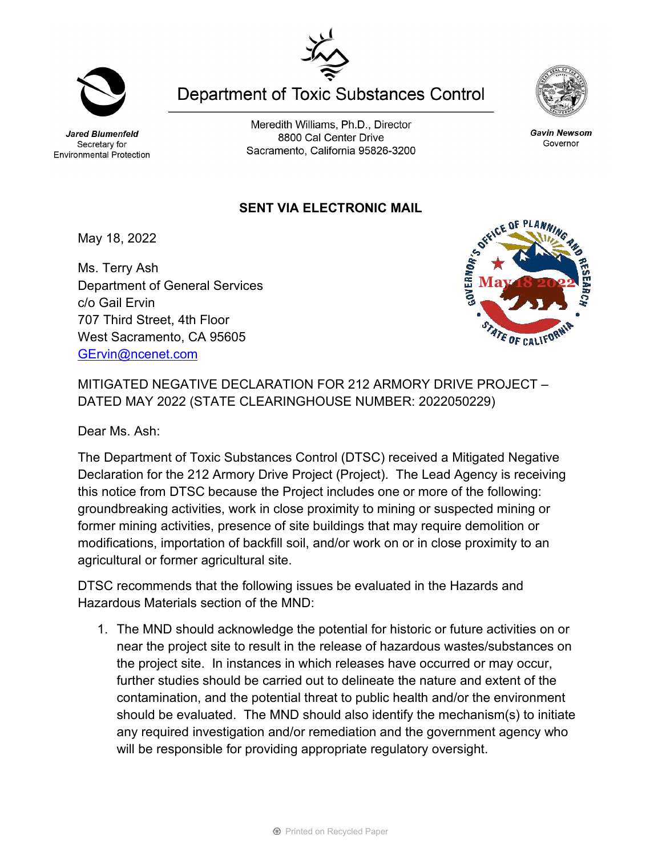Secretary for Environmental Protection

Meredith Williams, Ph.D., Director 8800 Cal Center Drive Sacramento, California 95826-3200

**Department of Toxic Substances Control** 

## **SENT VIA ELECTRONIC MAIL**

May 18, 2022

Ms. Terry Ash Department of General Services c/o Gail Ervin 707 Third Street, 4th Floor West Sacramento, CA 95605 [GErvin@ncenet.com](mailto:GErvin@ncenet.com)

MITIGATED NEGATIVE DECLARATION FOR 212 ARMORY DRIVE PROJECT – DATED MAY 2022 (STATE CLEARINGHOUSE NUMBER: 2022050229)

Dear Ms. Ash:

The Department of Toxic Substances Control (DTSC) received a Mitigated Negative Declaration for the 212 Armory Drive Project (Project). The Lead Agency is receiving this notice from DTSC because the Project includes one or more of the following: groundbreaking activities, work in close proximity to mining or suspected mining or former mining activities, presence of site buildings that may require demolition or modifications, importation of backfill soil, and/or work on or in close proximity to an agricultural or former agricultural site.

DTSC recommends that the following issues be evaluated in the Hazards and Hazardous Materials section of the MND:

1. The MND should acknowledge the potential for historic or future activities on or near the project site to result in the release of hazardous wastes/substances on the project site. In instances in which releases have occurred or may occur, further studies should be carried out to delineate the nature and extent of the contamination, and the potential threat to public health and/or the environment should be evaluated. The MND should also identify the mechanism(s) to initiate any required investigation and/or remediation and the government agency who will be responsible for providing appropriate regulatory oversight.





Gavin Newsom

Governor



Jared Blumenfeld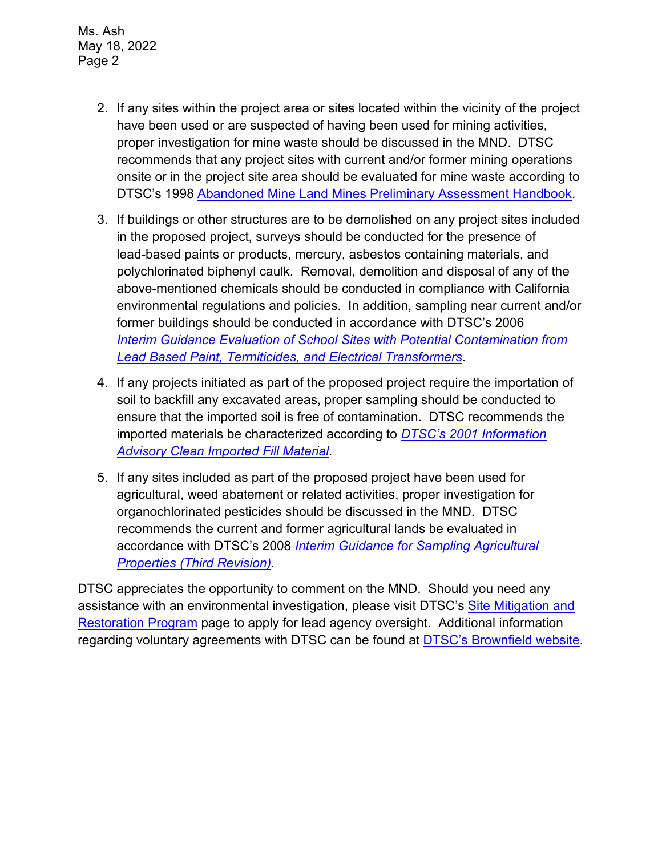Ms. Ash May 18, 2022 Page 2

- 2. If any sites within the project area or sites located within the vicinity of the project have been used or are suspected of having been used for mining activities, proper investigation for mine waste should be discussed in the MND. DTSC recommends that any project sites with current and/or former mining operations onsite or in the project site area should be evaluated for mine waste according to DTSC's 1998 [Abandoned Mine Land Mines Preliminary Assessment Handbook.](https://dtsc.ca.gov/2020/04/17/document-request/?wpf337186_14=https://dtsc.ca.gov/wp-content/uploads/sites/31/2018/11/aml_handbook.pdf)
- 3. If buildings or other structures are to be demolished on any project sites included in the proposed project, surveys should be conducted for the presence of lead-based paints or products, mercury, asbestos containing materials, and polychlorinated biphenyl caulk. Removal, demolition and disposal of any of the above-mentioned chemicals should be conducted in compliance with California environmental regulations and policies. In addition, sampling near current and/or former buildings should be conducted in accordance with DTSC's 2006 *Interim [Guidance Evaluation of School Sites with Potential Contamination from](https://dtsc.ca.gov/2020/04/17/document-request/?wpf337186_14=https://dtsc.ca.gov/wpcontent/uploads/sites/31/2018/09/Guidance_Lead_%20%20Contamination_050118.pdf)  [Lead Based Paint, Termiticides, and Electrical Transformers](https://dtsc.ca.gov/2020/04/17/document-request/?wpf337186_14=https://dtsc.ca.gov/wpcontent/uploads/sites/31/2018/09/Guidance_Lead_%20%20Contamination_050118.pdf)*.
- 4. If any projects initiated as part of the proposed project require the importation of soil to backfill any excavated areas, proper sampling should be conducted to ensure that the imported soil is free of contamination. DTSC recommends the imported materials be characterized according to *[DTSC's 2001 Information](https://dtsc.ca.gov/wp-content/uploads/sites/31/2018/09/SMP_FS_Cleanfill-Schools.pdf)  [Advisory Clean Imported Fill Material](https://dtsc.ca.gov/wp-content/uploads/sites/31/2018/09/SMP_FS_Cleanfill-Schools.pdf)*.
- 5. If any sites included as part of the proposed project have been used for agricultural, weed abatement or related activities, proper investigation for organochlorinated pesticides should be discussed in the MND. DTSC recommends the current and former agricultural lands be evaluated in accordance with DTSC's 2008 *[Interim Guidance for Sampling Agricultural](https://dtsc.ca.gov/wp-content/uploads/sites/31/2018/09/Ag-Guidance-Rev-3-August-7-2008-2.pdf)  [Properties \(Third Revision\).](https://dtsc.ca.gov/wp-content/uploads/sites/31/2018/09/Ag-Guidance-Rev-3-August-7-2008-2.pdf)*

DTSC appreciates the opportunity to comment on the MND. Should you need any assistance with an environmental investigation, please visit DTSC's [Site Mitigation and](https://dtsc.ca.gov/brownfields/voluntary-agreements-quick-reference-guide/) [Restoration Program](https://dtsc.ca.gov/brownfields/voluntary-agreements-quick-reference-guide/) page to apply for lead agency oversight. Additional information regarding voluntary agreements with DTSC can be found at [DTSC's Brownfield website.](https://dtsc.ca.gov/brownfields/)